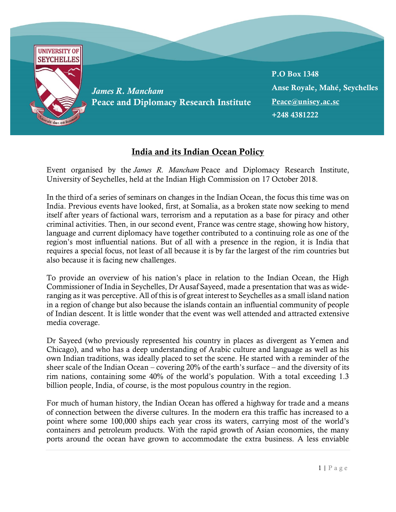

## India and its Indian Ocean Policy

Event organised by the *James R. Mancham* Peace and Diplomacy Research Institute, University of Seychelles, held at the Indian High Commission on 17 October 2018.

In the third of a series of seminars on changes in the Indian Ocean, the focus this time was on India. Previous events have looked, first, at Somalia, as a broken state now seeking to mend itself after years of factional wars, terrorism and a reputation as a base for piracy and other criminal activities. Then, in our second event, France was centre stage, showing how history, language and current diplomacy have together contributed to a continuing role as one of the region's most influential nations. But of all with a presence in the region, it is India that requires a special focus, not least of all because it is by far the largest of the rim countries but also because it is facing new challenges.

To provide an overview of his nation's place in relation to the Indian Ocean, the High Commissioner of India in Seychelles, Dr Ausaf Sayeed, made a presentation that was as wideranging as it was perceptive. All of this is of great interest to Seychelles as a small island nation in a region of change but also because the islands contain an influential community of people of Indian descent. It is little wonder that the event was well attended and attracted extensive media coverage.

Dr Sayeed (who previously represented his country in places as divergent as Yemen and Chicago), and who has a deep understanding of Arabic culture and language as well as his own Indian traditions, was ideally placed to set the scene. He started with a reminder of the sheer scale of the Indian Ocean – covering 20% of the earth's surface – and the diversity of its rim nations, containing some 40% of the world's population. With a total exceeding 1.3 billion people, India, of course, is the most populous country in the region.

For much of human history, the Indian Ocean has offered a highway for trade and a means of connection between the diverse cultures. In the modern era this traffic has increased to a point where some 100,000 ships each year cross its waters, carrying most of the world's containers and petroleum products. With the rapid growth of Asian economies, the many ports around the ocean have grown to accommodate the extra business. A less enviable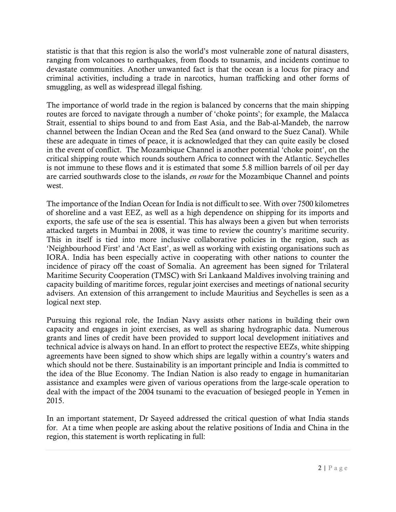statistic is that that this region is also the world's most vulnerable zone of natural disasters, ranging from volcanoes to earthquakes, from floods to tsunamis, and incidents continue to devastate communities. Another unwanted fact is that the ocean is a locus for piracy and criminal activities, including a trade in narcotics, human trafficking and other forms of smuggling, as well as widespread illegal fishing.

The importance of world trade in the region is balanced by concerns that the main shipping routes are forced to navigate through a number of 'choke points'; for example, the Malacca Strait, essential to ships bound to and from East Asia, and the Bab-al-Mandeb, the narrow channel between the Indian Ocean and the Red Sea (and onward to the Suez Canal). While these are adequate in times of peace, it is acknowledged that they can quite easily be closed in the event of conflict. The Mozambique Channel is another potential 'choke point', on the critical shipping route which rounds southern Africa to connect with the Atlantic. Seychelles is not immune to these flows and it is estimated that some 5.8 million barrels of oil per day are carried southwards close to the islands, *en route* for the Mozambique Channel and points west.

The importance of the Indian Ocean for India is not difficult to see. With over 7500 kilometres of shoreline and a vast EEZ, as well as a high dependence on shipping for its imports and exports, the safe use of the sea is essential. This has always been a given but when terrorists attacked targets in Mumbai in 2008, it was time to review the country's maritime security. This in itself is tied into more inclusive collaborative policies in the region, such as 'Neighbourhood First' and 'Act East', as well as working with existing organisations such as IORA. India has been especially active in cooperating with other nations to counter the incidence of piracy off the coast of Somalia. An agreement has been signed for Trilateral Maritime Security Cooperation (TMSC) with Sri Lankaand Maldives involving training and capacity building of maritime forces, regular joint exercises and meetings of national security advisers. An extension of this arrangement to include Mauritius and Seychelles is seen as a logical next step.

Pursuing this regional role, the Indian Navy assists other nations in building their own capacity and engages in joint exercises, as well as sharing hydrographic data. Numerous grants and lines of credit have been provided to support local development initiatives and technical advice is always on hand. In an effort to protect the respective EEZs, white shipping agreements have been signed to show which ships are legally within a country's waters and which should not be there. Sustainability is an important principle and India is committed to the idea of the Blue Economy. The Indian Nation is also ready to engage in humanitarian assistance and examples were given of various operations from the large-scale operation to deal with the impact of the 2004 tsunami to the evacuation of besieged people in Yemen in 2015.

In an important statement, Dr Sayeed addressed the critical question of what India stands for. At a time when people are asking about the relative positions of India and China in the region, this statement is worth replicating in full: